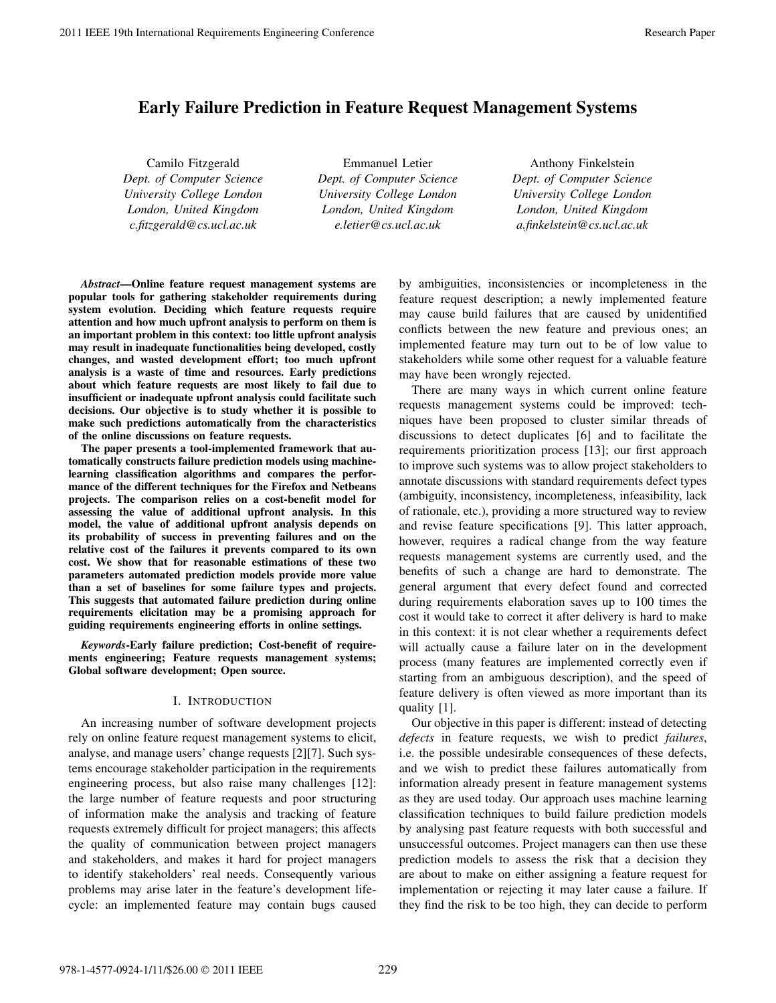# **Early Failure Prediction in Feature Request Management Systems**

Camilo Fitzgerald *Dept. of Computer Science University College London London, United Kingdom c.fitzgerald@cs.ucl.ac.uk*

Emmanuel Letier *Dept. of Computer Science University College London London, United Kingdom e.letier@cs.ucl.ac.uk*

Anthony Finkelstein *Dept. of Computer Science University College London London, United Kingdom a.finkelstein@cs.ucl.ac.uk*

*Abstract***—Online feature request management systems are popular tools for gathering stakeholder requirements during system evolution. Deciding which feature requests require attention and how much upfront analysis to perform on them is an important problem in this context: too little upfront analysis may result in inadequate functionalities being developed, costly changes, and wasted development effort; too much upfront analysis is a waste of time and resources. Early predictions about which feature requests are most likely to fail due to insufficient or inadequate upfront analysis could facilitate such decisions. Our objective is to study whether it is possible to make such predictions automatically from the characteristics of the online discussions on feature requests.**

**The paper presents a tool-implemented framework that automatically constructs failure prediction models using machinelearning classification algorithms and compares the performance of the different techniques for the Firefox and Netbeans projects. The comparison relies on a cost-benefit model for assessing the value of additional upfront analysis. In this model, the value of additional upfront analysis depends on its probability of success in preventing failures and on the relative cost of the failures it prevents compared to its own cost. We show that for reasonable estimations of these two parameters automated prediction models provide more value than a set of baselines for some failure types and projects. This suggests that automated failure prediction during online requirements elicitation may be a promising approach for guiding requirements engineering efforts in online settings.**

*Keywords***-Early failure prediction; Cost-benefit of requirements engineering; Feature requests management systems; Global software development; Open source.**

## I. INTRODUCTION

An increasing number of software development projects rely on online feature request management systems to elicit, analyse, and manage users' change requests [2][7]. Such systems encourage stakeholder participation in the requirements engineering process, but also raise many challenges [12]: the large number of feature requests and poor structuring of information make the analysis and tracking of feature requests extremely difficult for project managers; this affects the quality of communication between project managers and stakeholders, and makes it hard for project managers to identify stakeholders' real needs. Consequently various problems may arise later in the feature's development lifecycle: an implemented feature may contain bugs caused by ambiguities, inconsistencies or incompleteness in the feature request description; a newly implemented feature may cause build failures that are caused by unidentified conflicts between the new feature and previous ones; an implemented feature may turn out to be of low value to stakeholders while some other request for a valuable feature may have been wrongly rejected.

There are many ways in which current online feature requests management systems could be improved: techniques have been proposed to cluster similar threads of discussions to detect duplicates [6] and to facilitate the requirements prioritization process [13]; our first approach to improve such systems was to allow project stakeholders to annotate discussions with standard requirements defect types (ambiguity, inconsistency, incompleteness, infeasibility, lack of rationale, etc.), providing a more structured way to review and revise feature specifications [9]. This latter approach, however, requires a radical change from the way feature requests management systems are currently used, and the benefits of such a change are hard to demonstrate. The general argument that every defect found and corrected during requirements elaboration saves up to 100 times the cost it would take to correct it after delivery is hard to make in this context: it is not clear whether a requirements defect will actually cause a failure later on in the development process (many features are implemented correctly even if starting from an ambiguous description), and the speed of feature delivery is often viewed as more important than its quality [1].

Our objective in this paper is different: instead of detecting *defects* in feature requests, we wish to predict *failures*, i.e. the possible undesirable consequences of these defects, and we wish to predict these failures automatically from information already present in feature management systems as they are used today. Our approach uses machine learning classification techniques to build failure prediction models by analysing past feature requests with both successful and unsuccessful outcomes. Project managers can then use these prediction models to assess the risk that a decision they are about to make on either assigning a feature request for implementation or rejecting it may later cause a failure. If they find the risk to be too high, they can decide to perform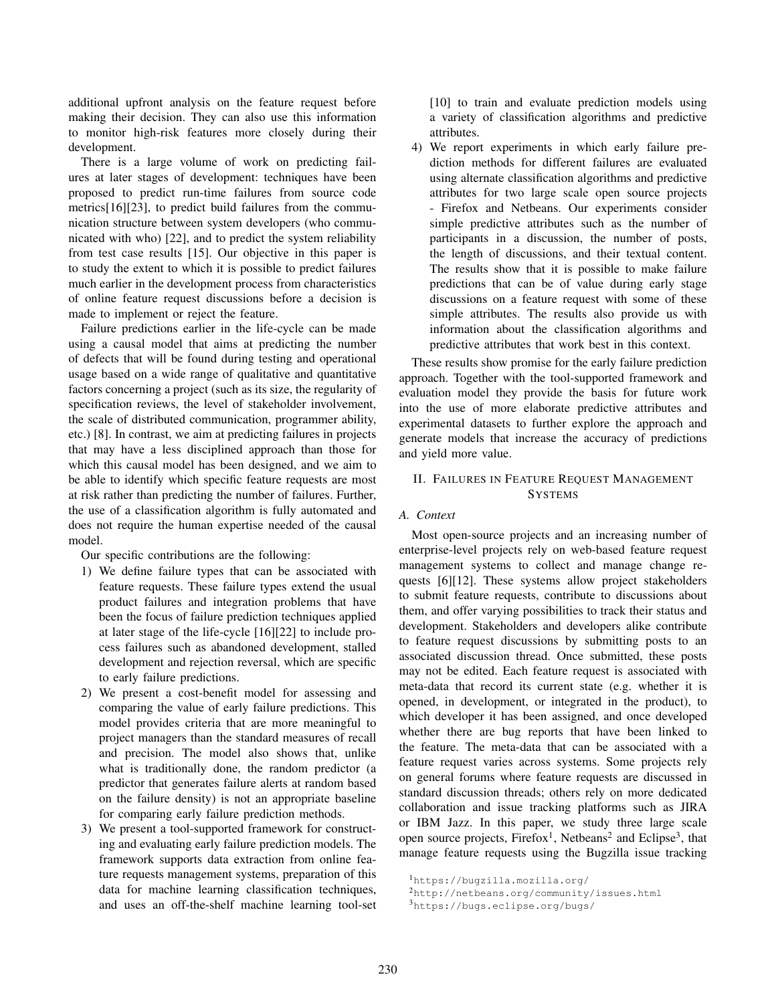additional upfront analysis on the feature request before making their decision. They can also use this information to monitor high-risk features more closely during their development.

There is a large volume of work on predicting failures at later stages of development: techniques have been proposed to predict run-time failures from source code metrics[16][23], to predict build failures from the communication structure between system developers (who communicated with who) [22], and to predict the system reliability from test case results [15]. Our objective in this paper is to study the extent to which it is possible to predict failures much earlier in the development process from characteristics of online feature request discussions before a decision is made to implement or reject the feature.

Failure predictions earlier in the life-cycle can be made using a causal model that aims at predicting the number of defects that will be found during testing and operational usage based on a wide range of qualitative and quantitative factors concerning a project (such as its size, the regularity of specification reviews, the level of stakeholder involvement, the scale of distributed communication, programmer ability, etc.) [8]. In contrast, we aim at predicting failures in projects that may have a less disciplined approach than those for which this causal model has been designed, and we aim to be able to identify which specific feature requests are most at risk rather than predicting the number of failures. Further, the use of a classification algorithm is fully automated and does not require the human expertise needed of the causal model.

Our specific contributions are the following:

- 1) We define failure types that can be associated with feature requests. These failure types extend the usual product failures and integration problems that have been the focus of failure prediction techniques applied at later stage of the life-cycle [16][22] to include process failures such as abandoned development, stalled development and rejection reversal, which are specific to early failure predictions.
- 2) We present a cost-benefit model for assessing and comparing the value of early failure predictions. This model provides criteria that are more meaningful to project managers than the standard measures of recall and precision. The model also shows that, unlike what is traditionally done, the random predictor (a predictor that generates failure alerts at random based on the failure density) is not an appropriate baseline for comparing early failure prediction methods.
- 3) We present a tool-supported framework for constructing and evaluating early failure prediction models. The framework supports data extraction from online feature requests management systems, preparation of this data for machine learning classification techniques, and uses an off-the-shelf machine learning tool-set

[10] to train and evaluate prediction models using a variety of classification algorithms and predictive attributes.

4) We report experiments in which early failure prediction methods for different failures are evaluated using alternate classification algorithms and predictive attributes for two large scale open source projects - Firefox and Netbeans. Our experiments consider simple predictive attributes such as the number of participants in a discussion, the number of posts, the length of discussions, and their textual content. The results show that it is possible to make failure predictions that can be of value during early stage discussions on a feature request with some of these simple attributes. The results also provide us with information about the classification algorithms and predictive attributes that work best in this context.

These results show promise for the early failure prediction approach. Together with the tool-supported framework and evaluation model they provide the basis for future work into the use of more elaborate predictive attributes and experimental datasets to further explore the approach and generate models that increase the accuracy of predictions and yield more value.

## II. FAILURES IN FEATURE REQUEST MANAGEMENT **SYSTEMS**

## *A. Context*

Most open-source projects and an increasing number of enterprise-level projects rely on web-based feature request management systems to collect and manage change requests [6][12]. These systems allow project stakeholders to submit feature requests, contribute to discussions about them, and offer varying possibilities to track their status and development. Stakeholders and developers alike contribute to feature request discussions by submitting posts to an associated discussion thread. Once submitted, these posts may not be edited. Each feature request is associated with meta-data that record its current state (e.g. whether it is opened, in development, or integrated in the product), to which developer it has been assigned, and once developed whether there are bug reports that have been linked to the feature. The meta-data that can be associated with a feature request varies across systems. Some projects rely on general forums where feature requests are discussed in standard discussion threads; others rely on more dedicated collaboration and issue tracking platforms such as JIRA or IBM Jazz. In this paper, we study three large scale open source projects, Firefox<sup>1</sup>, Netbeans<sup>2</sup> and Eclipse<sup>3</sup>, that manage feature requests using the Bugzilla issue tracking

<sup>2</sup>http://netbeans.org/community/issues.html

<sup>1</sup>https://bugzilla.mozilla.org/

<sup>3</sup>https://bugs.eclipse.org/bugs/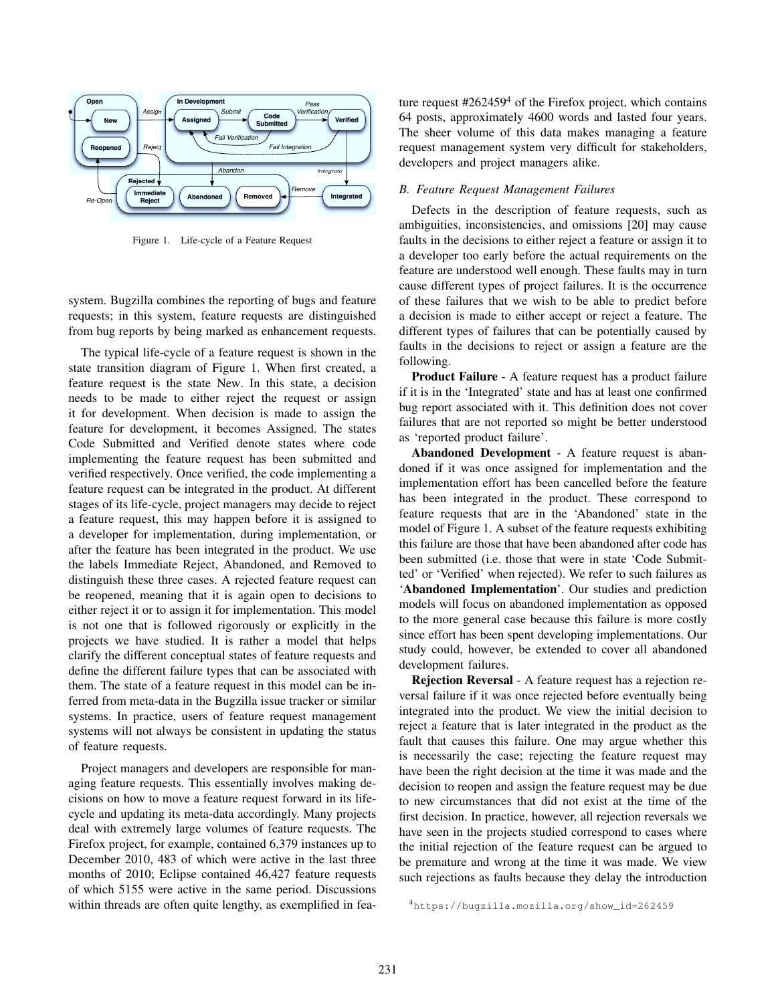

Figure 1. Life-cycle of a Feature Request

system. Bugzilla combines the reporting of bugs and feature requests; in this system, feature requests are distinguished from bug reports by being marked as enhancement requests.

The typical life-cycle of a feature request is shown in the state transition diagram of Figure 1. When first created, a feature request is the state New. In this state, a decision needs to be made to either reject the request or assign it for development. When decision is made to assign the feature for development, it becomes Assigned. The states Code Submitted and Verified denote states where code implementing the feature request has been submitted and verified respectively. Once verified, the code implementing a feature request can be integrated in the product. At different stages of its life-cycle, project managers may decide to reject a feature request, this may happen before it is assigned to a developer for implementation, during implementation, or after the feature has been integrated in the product. We use the labels Immediate Reject, Abandoned, and Removed to distinguish these three cases. A rejected feature request can be reopened, meaning that it is again open to decisions to either reject it or to assign it for implementation. This model is not one that is followed rigorously or explicitly in the projects we have studied. It is rather a model that helps clarify the different conceptual states of feature requests and define the different failure types that can be associated with them. The state of a feature request in this model can be inferred from meta-data in the Bugzilla issue tracker or similar systems. In practice, users of feature request management systems will not always be consistent in updating the status of feature requests.

Project managers and developers are responsible for managing feature requests. This essentially involves making decisions on how to move a feature request forward in its lifecycle and updating its meta-data accordingly. Many projects deal with extremely large volumes of feature requests. The Firefox project, for example, contained 6,379 instances up to December 2010, 483 of which were active in the last three months of 2010; Eclipse contained 46,427 feature requests of which 5155 were active in the same period. Discussions within threads are often quite lengthy, as exemplified in feature request #262459<sup>4</sup> of the Firefox project, which contains 64 posts, approximately 4600 words and lasted four years. The sheer volume of this data makes managing a feature request management system very difficult for stakeholders, developers and project managers alike.

#### *B. Feature Request Management Failures*

Defects in the description of feature requests, such as ambiguities, inconsistencies, and omissions [20] may cause faults in the decisions to either reject a feature or assign it to a developer too early before the actual requirements on the feature are understood well enough. These faults may in turn cause different types of project failures. It is the occurrence of these failures that we wish to be able to predict before a decision is made to either accept or reject a feature. The different types of failures that can be potentially caused by faults in the decisions to reject or assign a feature are the following.

**Product Failure** - A feature request has a product failure if it is in the 'Integrated' state and has at least one confirmed bug report associated with it. This definition does not cover failures that are not reported so might be better understood as 'reported product failure'.

**Abandoned Development** - A feature request is abandoned if it was once assigned for implementation and the implementation effort has been cancelled before the feature has been integrated in the product. These correspond to feature requests that are in the 'Abandoned' state in the model of Figure 1. A subset of the feature requests exhibiting this failure are those that have been abandoned after code has been submitted (i.e. those that were in state 'Code Submitted' or 'Verified' when rejected). We refer to such failures as '**Abandoned Implementation**'. Our studies and prediction models will focus on abandoned implementation as opposed to the more general case because this failure is more costly since effort has been spent developing implementations. Our study could, however, be extended to cover all abandoned development failures.

**Rejection Reversal** - A feature request has a rejection reversal failure if it was once rejected before eventually being integrated into the product. We view the initial decision to reject a feature that is later integrated in the product as the fault that causes this failure. One may argue whether this is necessarily the case; rejecting the feature request may have been the right decision at the time it was made and the decision to reopen and assign the feature request may be due to new circumstances that did not exist at the time of the first decision. In practice, however, all rejection reversals we have seen in the projects studied correspond to cases where the initial rejection of the feature request can be argued to be premature and wrong at the time it was made. We view such rejections as faults because they delay the introduction

<sup>4</sup>https://bugzilla.mozilla.org/show\_id=262459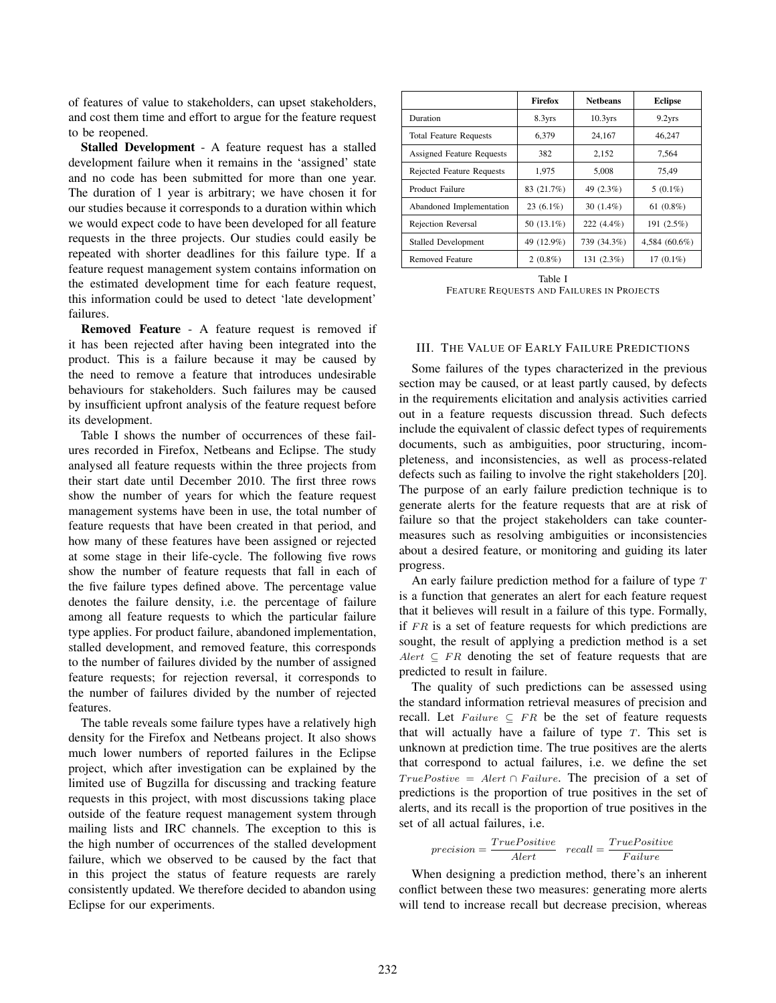of features of value to stakeholders, can upset stakeholders, and cost them time and effort to argue for the feature request to be reopened.

**Stalled Development** - A feature request has a stalled development failure when it remains in the 'assigned' state and no code has been submitted for more than one year. The duration of 1 year is arbitrary; we have chosen it for our studies because it corresponds to a duration within which we would expect code to have been developed for all feature requests in the three projects. Our studies could easily be repeated with shorter deadlines for this failure type. If a feature request management system contains information on the estimated development time for each feature request, this information could be used to detect 'late development' failures.

**Removed Feature** - A feature request is removed if it has been rejected after having been integrated into the product. This is a failure because it may be caused by the need to remove a feature that introduces undesirable behaviours for stakeholders. Such failures may be caused by insufficient upfront analysis of the feature request before its development.

Table I shows the number of occurrences of these failures recorded in Firefox, Netbeans and Eclipse. The study analysed all feature requests within the three projects from their start date until December 2010. The first three rows show the number of years for which the feature request management systems have been in use, the total number of feature requests that have been created in that period, and how many of these features have been assigned or rejected at some stage in their life-cycle. The following five rows show the number of feature requests that fall in each of the five failure types defined above. The percentage value denotes the failure density, i.e. the percentage of failure among all feature requests to which the particular failure type applies. For product failure, abandoned implementation, stalled development, and removed feature, this corresponds to the number of failures divided by the number of assigned feature requests; for rejection reversal, it corresponds to the number of failures divided by the number of rejected features.

The table reveals some failure types have a relatively high density for the Firefox and Netbeans project. It also shows much lower numbers of reported failures in the Eclipse project, which after investigation can be explained by the limited use of Bugzilla for discussing and tracking feature requests in this project, with most discussions taking place outside of the feature request management system through mailing lists and IRC channels. The exception to this is the high number of occurrences of the stalled development failure, which we observed to be caused by the fact that in this project the status of feature requests are rarely consistently updated. We therefore decided to abandon using Eclipse for our experiments.

|                                  | Firefox     | <b>Netheans</b> | <b>Eclipse</b>     |
|----------------------------------|-------------|-----------------|--------------------|
| Duration                         | 8.3yrs      | 10.3yrs         | 9.2 <sub>Yrs</sub> |
| <b>Total Feature Requests</b>    | 6.379       | 24,167          | 46,247             |
| <b>Assigned Feature Requests</b> | 382         | 2,152           | 7.564              |
| <b>Rejected Feature Requests</b> | 1.975       | 5.008           | 75.49              |
| Product Failure                  | 83 (21.7%)  | 49 (2.3%)       | $5(0.1\%)$         |
| Abandoned Implementation         | $23(6.1\%)$ | $30(1.4\%)$     | 61 $(0.8\%)$       |
| <b>Rejection Reversal</b>        | 50 (13.1%)  | $222(4.4\%)$    | 191 (2.5%)         |
| <b>Stalled Development</b>       | 49 (12.9%)  | 739 (34.3%)     | 4,584 (60.6%)      |
| Removed Feature                  | $2(0.8\%)$  | 131 (2.3%)      | $17(0.1\%)$        |

Table I FEATURE REQUESTS AND FAILURES IN PROJECTS

## III. THE VALUE OF EARLY FAILURE PREDICTIONS

Some failures of the types characterized in the previous section may be caused, or at least partly caused, by defects in the requirements elicitation and analysis activities carried out in a feature requests discussion thread. Such defects include the equivalent of classic defect types of requirements documents, such as ambiguities, poor structuring, incompleteness, and inconsistencies, as well as process-related defects such as failing to involve the right stakeholders [20]. The purpose of an early failure prediction technique is to generate alerts for the feature requests that are at risk of failure so that the project stakeholders can take countermeasures such as resolving ambiguities or inconsistencies about a desired feature, or monitoring and guiding its later progress.

An early failure prediction method for a failure of type T is a function that generates an alert for each feature request that it believes will result in a failure of this type. Formally, if  $FR$  is a set of feature requests for which predictions are sought, the result of applying a prediction method is a set Alert  $\subseteq FR$  denoting the set of feature requests that are predicted to result in failure.

The quality of such predictions can be assessed using the standard information retrieval measures of precision and recall. Let  $F \text{a} i \text{1} \text{u} r e \subseteq FR$  be the set of feature requests that will actually have a failure of type  $T$ . This set is unknown at prediction time. The true positives are the alerts that correspond to actual failures, i.e. we define the set  $True Postive = Alet \cap Failure$ . The precision of a set of predictions is the proportion of true positives in the set of alerts, and its recall is the proportion of true positives in the set of all actual failures, i.e.

$$
precision = \frac{TruePositive}{Alett} \quad recall = \frac{TruePositive}{Failure}
$$

When designing a prediction method, there's an inherent conflict between these two measures: generating more alerts will tend to increase recall but decrease precision, whereas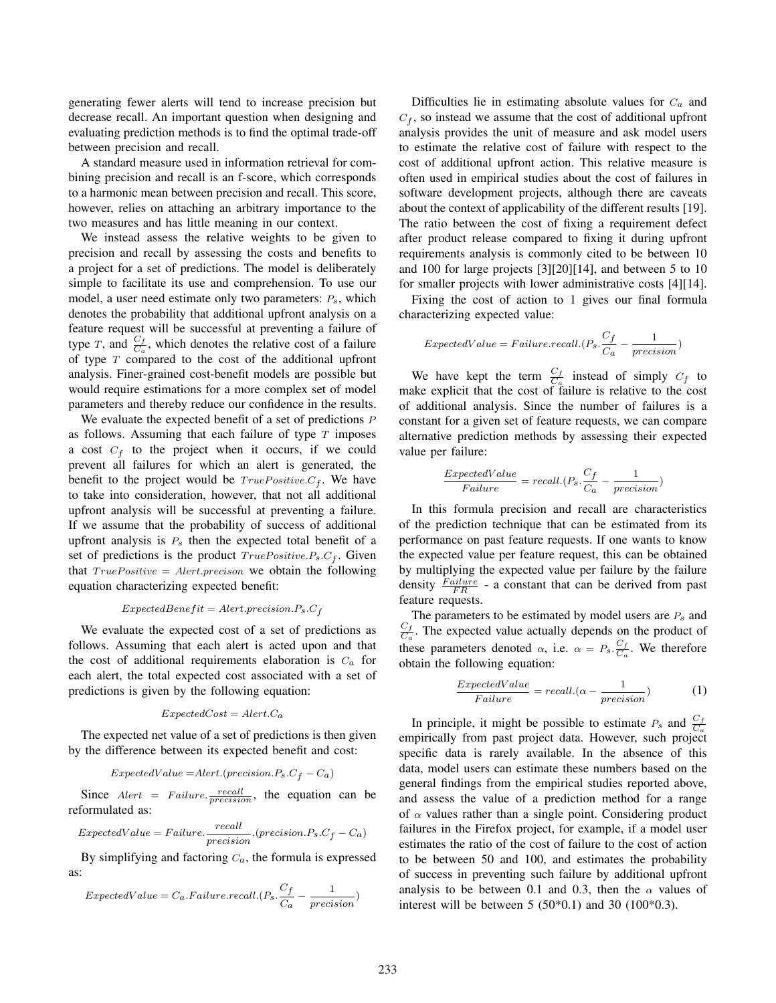generating fewer alerts will tend to increase precision but decrease recall. An important question when designing and evaluating prediction methods is to find the optimal trade-off between precision and recall.

A standard measure used in information retrieval for combining precision and recall is an f-score, which corresponds to a harmonic mean between precision and recall. This score, however, relies on attaching an arbitrary importance to the two measures and has little meaning in our context.

We instead assess the relative weights to be given to precision and recall by assessing the costs and benefits to a project for a set of predictions. The model is deliberately simple to facilitate its use and comprehension. To use our model, a user need estimate only two parameters:  $P_s$ , which denotes the probability that additional upfront analysis on a feature request will be successful at preventing a failure of type T, and  $\frac{C_f}{C_a}$ , which denotes the relative cost of a failure of type  $T$  compared to the cost of the additional upfront analysis. Finer-grained cost-benefit models are possible but would require estimations for a more complex set of model parameters and thereby reduce our confidence in the results.

We evaluate the expected benefit of a set of predictions  $P$ as follows. Assuming that each failure of type  $T$  imposes a cost  $C_f$  to the project when it occurs, if we could prevent all failures for which an alert is generated, the benefit to the project would be  $True Positive C_f$ . We have to take into consideration, however, that not all additional upfront analysis will be successful at preventing a failure. If we assume that the probability of success of additional upfront analysis is  $P_s$  then the expected total benefit of a set of predictions is the product  $True Positive.P_s.C_f$ . Given that  $True Positive = Alert. precision$  we obtain the following equation characterizing expected benefit:

$$
ExpectedBenefit = Alert. precision. P_s. C_f \\
$$

We evaluate the expected cost of a set of predictions as follows. Assuming that each alert is acted upon and that the cost of additional requirements elaboration is  $C_a$  for each alert, the total expected cost associated with a set of predictions is given by the following equation:

$$
ExpectedCost = Alert.C_a \\
$$

The expected net value of a set of predictions is then given by the difference between its expected benefit and cost:

$$
ExpectedValue = Alert. (precision.P_s.C_f-Ca) \\
$$

Since  $A$ lert = Failure.  $\frac{recall}{precision}$ , the equation can be reformulated as:

$$
ExpectedValue = Failure.\frac{recall}{precision}.(precision.P_s.C_f-C_a)
$$

By simplifying and factoring  $C_a$ , the formula is expressed as:

ExpectedValue = 
$$
C_a
$$
.*Failure*.*recall*. $(P_s \cdot \frac{C_f}{C_a} - \frac{1}{precision})$ 

Difficulties lie in estimating absolute values for  $C_a$  and  $C_f$ , so instead we assume that the cost of additional upfront analysis provides the unit of measure and ask model users to estimate the relative cost of failure with respect to the cost of additional upfront action. This relative measure is often used in empirical studies about the cost of failures in software development projects, although there are caveats about the context of applicability of the different results [19]. The ratio between the cost of fixing a requirement defect after product release compared to fixing it during upfront requirements analysis is commonly cited to be between 10 and 100 for large projects [3][20][14], and between 5 to 10 for smaller projects with lower administrative costs [4][14].

Fixing the cost of action to 1 gives our final formula characterizing expected value:

ExpectedValue = Failure.readl.(
$$
P_s \cdot \frac{C_f}{C_a} - \frac{1}{precision}
$$
)

We have kept the term  $\frac{C_f}{C_a}$  instead of simply  $C_f$  to make explicit that the cost of failure is relative to the cost of additional analysis. Since the number of failures is a constant for a given set of feature requests, we can compare alternative prediction methods by assessing their expected value per failure:

$$
\frac{ExpectedValue}{Failure} = recall.(P_s. \frac{C_f}{C_a} - \frac{1}{precision})
$$

In this formula precision and recall are characteristics of the prediction technique that can be estimated from its performance on past feature requests. If one wants to know the expected value per feature request, this can be obtained by multiplying the expected value per failure by the failure density  $\frac{F \text{ailure}}{FR}$  - a constant that can be derived from past feature requests.

The parameters to be estimated by model users are  $P_s$  and  $\frac{C_f}{C_a}$ . The expected value actually depends on the product of these parameters denoted  $\alpha$ , i.e.  $\alpha = P_s \cdot \frac{C_f}{C_a}$ . We therefore obtain the following equation:

$$
\frac{ExpectedValue}{Failure} = recall.(\alpha - \frac{1}{precision})
$$
 (1)

In principle, it might be possible to estimate  $P_s$  and  $\frac{C_f}{C_a}$ empirically from past project data. However, such project specific data is rarely available. In the absence of this data, model users can estimate these numbers based on the general findings from the empirical studies reported above, and assess the value of a prediction method for a range of  $\alpha$  values rather than a single point. Considering product failures in the Firefox project, for example, if a model user estimates the ratio of the cost of failure to the cost of action to be between 50 and 100, and estimates the probability of success in preventing such failure by additional upfront analysis to be between 0.1 and 0.3, then the  $\alpha$  values of interest will be between  $5 (50*0.1)$  and  $30 (100*0.3)$ .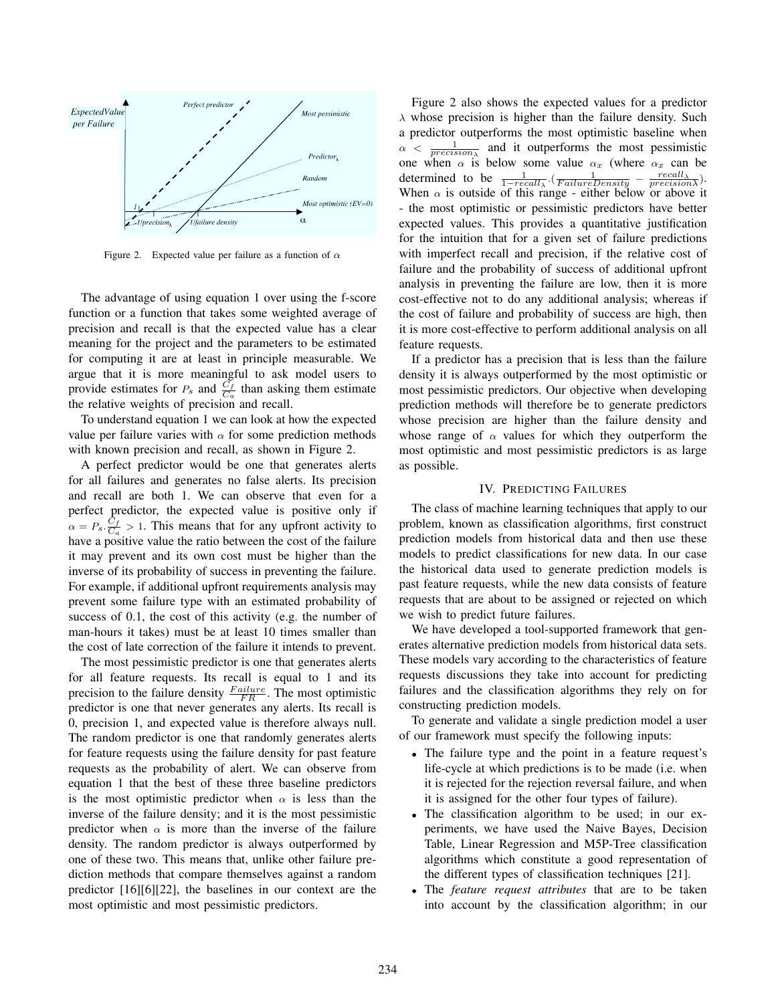

Figure 2. Expected value per failure as a function of  $\alpha$ 

The advantage of using equation 1 over using the f-score function or a function that takes some weighted average of precision and recall is that the expected value has a clear meaning for the project and the parameters to be estimated for computing it are at least in principle measurable. We argue that it is more meaningful to ask model users to provide estimates for  $P_s$  and  $\frac{C_f}{C_a}$  than asking them estimate the relative weights of precision and recall.

To understand equation 1 we can look at how the expected value per failure varies with  $\alpha$  for some prediction methods with known precision and recall, as shown in Figure 2.

A perfect predictor would be one that generates alerts for all failures and generates no false alerts. Its precision and recall are both 1. We can observe that even for a perfect predictor, the expected value is positive only if  $\alpha = P_s \cdot \frac{\bar{C}_f}{C_a} > 1$ . This means that for any upfront activity to have a positive value the ratio between the cost of the failure it may prevent and its own cost must be higher than the inverse of its probability of success in preventing the failure. For example, if additional upfront requirements analysis may prevent some failure type with an estimated probability of success of 0.1, the cost of this activity (e.g. the number of man-hours it takes) must be at least 10 times smaller than the cost of late correction of the failure it intends to prevent.

The most pessimistic predictor is one that generates alerts for all feature requests. Its recall is equal to 1 and its precision to the failure density  $\frac{F\text{ailure}}{FR}$ . The most optimistic predictor is one that never generates any alerts. Its recall is 0, precision 1, and expected value is therefore always null. The random predictor is one that randomly generates alerts for feature requests using the failure density for past feature requests as the probability of alert. We can observe from equation 1 that the best of these three baseline predictors is the most optimistic predictor when  $\alpha$  is less than the inverse of the failure density; and it is the most pessimistic predictor when  $\alpha$  is more than the inverse of the failure density. The random predictor is always outperformed by one of these two. This means that, unlike other failure prediction methods that compare themselves against a random predictor [16][6][22], the baselines in our context are the most optimistic and most pessimistic predictors.

Figure 2 also shows the expected values for a predictor  $\lambda$  whose precision is higher than the failure density. Such a predictor outperforms the most optimistic baseline when  $\alpha < \frac{1}{precision_{\lambda}}$  and it outperforms the most pessimistic one when  $\alpha$  is below some value  $\alpha_x$  (where  $\alpha_x$  can be determined to be  $\frac{1}{1 - recall_{\lambda}} \cdot (\frac{1}{FailureDensity} - \frac{recall_{\lambda}}{precision{\lambda}}).$ When  $\alpha$  is outside of this range - either below or above it - the most optimistic or pessimistic predictors have better expected values. This provides a quantitative justification for the intuition that for a given set of failure predictions with imperfect recall and precision, if the relative cost of failure and the probability of success of additional upfront analysis in preventing the failure are low, then it is more cost-effective not to do any additional analysis; whereas if the cost of failure and probability of success are high, then it is more cost-effective to perform additional analysis on all feature requests.

If a predictor has a precision that is less than the failure density it is always outperformed by the most optimistic or most pessimistic predictors. Our objective when developing prediction methods will therefore be to generate predictors whose precision are higher than the failure density and whose range of  $\alpha$  values for which they outperform the most optimistic and most pessimistic predictors is as large as possible.

## IV. PREDICTING FAILURES

The class of machine learning techniques that apply to our problem, known as classification algorithms, first construct prediction models from historical data and then use these models to predict classifications for new data. In our case the historical data used to generate prediction models is past feature requests, while the new data consists of feature requests that are about to be assigned or rejected on which we wish to predict future failures.

We have developed a tool-supported framework that generates alternative prediction models from historical data sets. These models vary according to the characteristics of feature requests discussions they take into account for predicting failures and the classification algorithms they rely on for constructing prediction models.

To generate and validate a single prediction model a user of our framework must specify the following inputs:

- The failure type and the point in a feature request's life-cycle at which predictions is to be made (i.e. when it is rejected for the rejection reversal failure, and when it is assigned for the other four types of failure).
- The classification algorithm to be used; in our experiments, we have used the Naive Bayes, Decision Table, Linear Regression and M5P-Tree classification algorithms which constitute a good representation of the different types of classification techniques [21].
- The *feature request attributes* that are to be taken into account by the classification algorithm; in our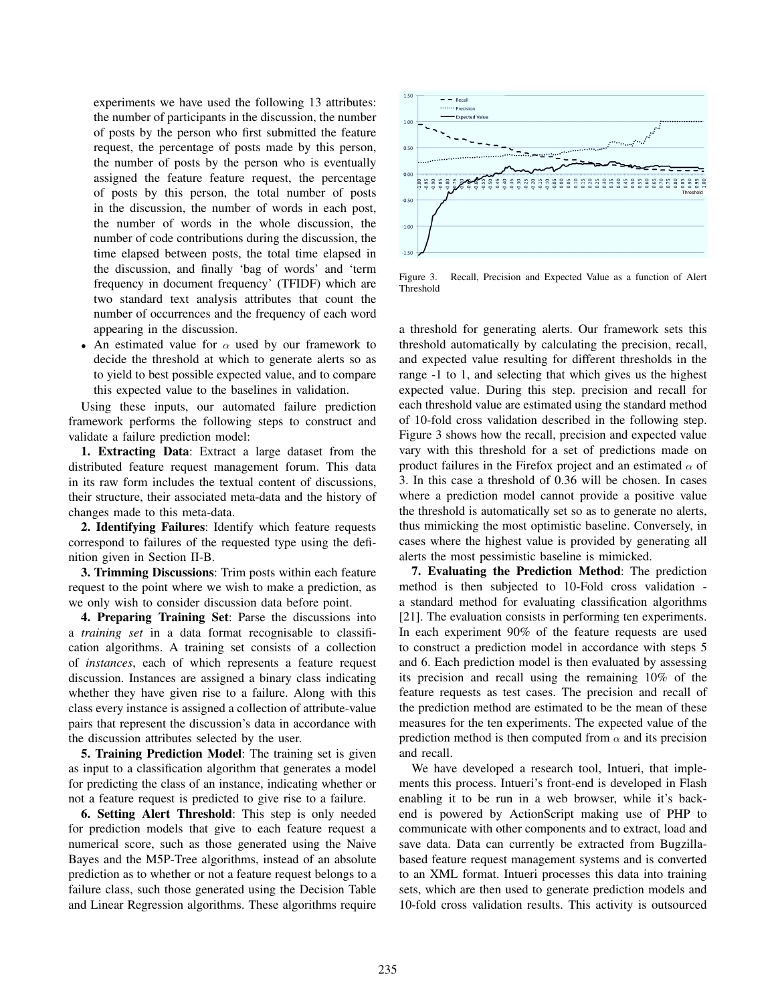experiments we have used the following 13 attributes: the number of participants in the discussion, the number of posts by the person who first submitted the feature request, the percentage of posts made by this person, the number of posts by the person who is eventually assigned the feature feature request, the percentage of posts by this person, the total number of posts in the discussion, the number of words in each post, the number of words in the whole discussion, the number of code contributions during the discussion, the time elapsed between posts, the total time elapsed in the discussion, and finally 'bag of words' and 'term frequency in document frequency' (TFIDF) which are two standard text analysis attributes that count the number of occurrences and the frequency of each word appearing in the discussion.

An estimated value for  $\alpha$  used by our framework to decide the threshold at which to generate alerts so as to yield to best possible expected value, and to compare this expected value to the baselines in validation.

Using these inputs, our automated failure prediction framework performs the following steps to construct and validate a failure prediction model:

**1. Extracting Data**: Extract a large dataset from the distributed feature request management forum. This data in its raw form includes the textual content of discussions, their structure, their associated meta-data and the history of changes made to this meta-data.

**2. Identifying Failures**: Identify which feature requests correspond to failures of the requested type using the definition given in Section II-B.

**3. Trimming Discussions**: Trim posts within each feature request to the point where we wish to make a prediction, as we only wish to consider discussion data before point.

**4. Preparing Training Set**: Parse the discussions into a *training set* in a data format recognisable to classification algorithms. A training set consists of a collection of *instances*, each of which represents a feature request discussion. Instances are assigned a binary class indicating whether they have given rise to a failure. Along with this class every instance is assigned a collection of attribute-value pairs that represent the discussion's data in accordance with the discussion attributes selected by the user.

**5. Training Prediction Model**: The training set is given as input to a classification algorithm that generates a model for predicting the class of an instance, indicating whether or not a feature request is predicted to give rise to a failure.

**6. Setting Alert Threshold**: This step is only needed for prediction models that give to each feature request a numerical score, such as those generated using the Naive Bayes and the M5P-Tree algorithms, instead of an absolute prediction as to whether or not a feature request belongs to a failure class, such those generated using the Decision Table and Linear Regression algorithms. These algorithms require



Figure 3. Recall, Precision and Expected Value as a function of Alert Threshold

a threshold for generating alerts. Our framework sets this threshold automatically by calculating the precision, recall, and expected value resulting for different thresholds in the range -1 to 1, and selecting that which gives us the highest expected value. During this step. precision and recall for each threshold value are estimated using the standard method of 10-fold cross validation described in the following step. Figure 3 shows how the recall, precision and expected value vary with this threshold for a set of predictions made on product failures in the Firefox project and an estimated  $\alpha$  of 3. In this case a threshold of 0.36 will be chosen. In cases where a prediction model cannot provide a positive value the threshold is automatically set so as to generate no alerts, thus mimicking the most optimistic baseline. Conversely, in cases where the highest value is provided by generating all alerts the most pessimistic baseline is mimicked.

**7. Evaluating the Prediction Method**: The prediction method is then subjected to 10-Fold cross validation a standard method for evaluating classification algorithms [21]. The evaluation consists in performing ten experiments. In each experiment 90% of the feature requests are used to construct a prediction model in accordance with steps 5 and 6. Each prediction model is then evaluated by assessing its precision and recall using the remaining 10% of the feature requests as test cases. The precision and recall of the prediction method are estimated to be the mean of these measures for the ten experiments. The expected value of the prediction method is then computed from  $\alpha$  and its precision and recall.

We have developed a research tool, Intueri, that implements this process. Intueri's front-end is developed in Flash enabling it to be run in a web browser, while it's backend is powered by ActionScript making use of PHP to communicate with other components and to extract, load and save data. Data can currently be extracted from Bugzillabased feature request management systems and is converted to an XML format. Intueri processes this data into training sets, which are then used to generate prediction models and 10-fold cross validation results. This activity is outsourced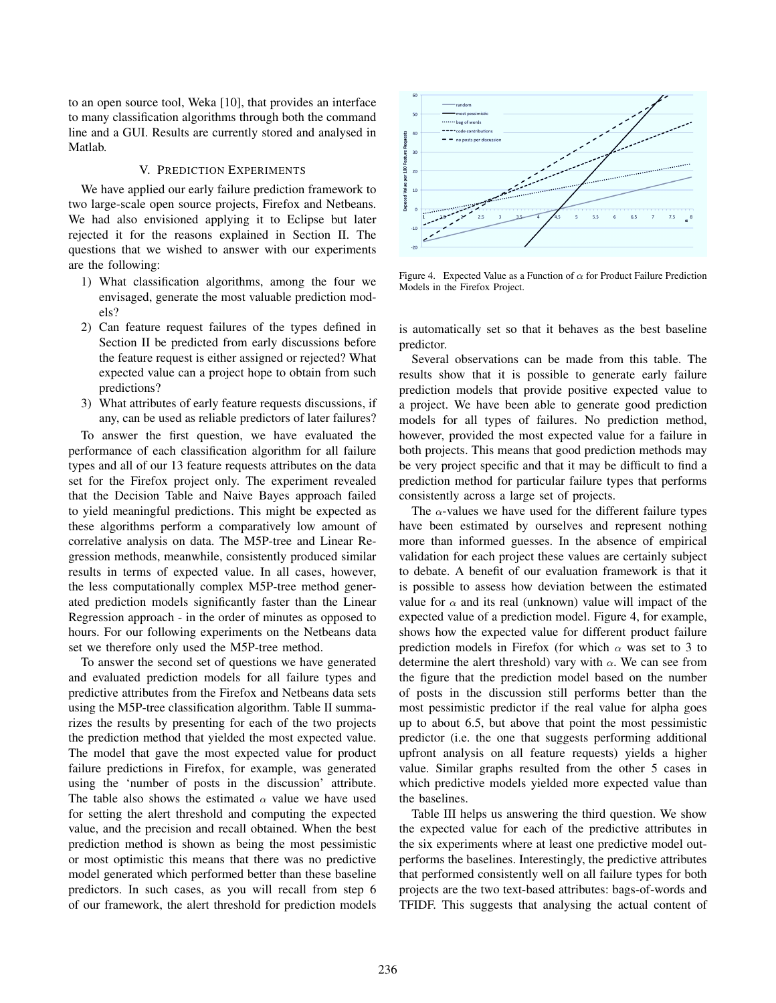to an open source tool, Weka [10], that provides an interface to many classification algorithms through both the command line and a GUI. Results are currently stored and analysed in Matlab.

## V. PREDICTION EXPERIMENTS

We have applied our early failure prediction framework to two large-scale open source projects, Firefox and Netbeans. We had also envisioned applying it to Eclipse but later rejected it for the reasons explained in Section II. The questions that we wished to answer with our experiments are the following:

- 1) What classification algorithms, among the four we envisaged, generate the most valuable prediction models?
- 2) Can feature request failures of the types defined in Section II be predicted from early discussions before the feature request is either assigned or rejected? What expected value can a project hope to obtain from such predictions?
- 3) What attributes of early feature requests discussions, if any, can be used as reliable predictors of later failures?

To answer the first question, we have evaluated the performance of each classification algorithm for all failure types and all of our 13 feature requests attributes on the data set for the Firefox project only. The experiment revealed that the Decision Table and Naive Bayes approach failed to yield meaningful predictions. This might be expected as these algorithms perform a comparatively low amount of correlative analysis on data. The M5P-tree and Linear Regression methods, meanwhile, consistently produced similar results in terms of expected value. In all cases, however, the less computationally complex M5P-tree method generated prediction models significantly faster than the Linear Regression approach - in the order of minutes as opposed to hours. For our following experiments on the Netbeans data set we therefore only used the M5P-tree method.

To answer the second set of questions we have generated and evaluated prediction models for all failure types and predictive attributes from the Firefox and Netbeans data sets using the M5P-tree classification algorithm. Table II summarizes the results by presenting for each of the two projects the prediction method that yielded the most expected value. The model that gave the most expected value for product failure predictions in Firefox, for example, was generated using the 'number of posts in the discussion' attribute. The table also shows the estimated  $\alpha$  value we have used for setting the alert threshold and computing the expected value, and the precision and recall obtained. When the best prediction method is shown as being the most pessimistic or most optimistic this means that there was no predictive model generated which performed better than these baseline predictors. In such cases, as you will recall from step 6 of our framework, the alert threshold for prediction models



Figure 4. Expected Value as a Function of  $\alpha$  for Product Failure Prediction Models in the Firefox Project.

is automatically set so that it behaves as the best baseline predictor.

Several observations can be made from this table. The results show that it is possible to generate early failure prediction models that provide positive expected value to a project. We have been able to generate good prediction models for all types of failures. No prediction method, however, provided the most expected value for a failure in both projects. This means that good prediction methods may be very project specific and that it may be difficult to find a prediction method for particular failure types that performs consistently across a large set of projects.

The  $\alpha$ -values we have used for the different failure types have been estimated by ourselves and represent nothing more than informed guesses. In the absence of empirical validation for each project these values are certainly subject to debate. A benefit of our evaluation framework is that it is possible to assess how deviation between the estimated value for  $\alpha$  and its real (unknown) value will impact of the expected value of a prediction model. Figure 4, for example, shows how the expected value for different product failure prediction models in Firefox (for which  $\alpha$  was set to 3 to determine the alert threshold) vary with  $\alpha$ . We can see from the figure that the prediction model based on the number of posts in the discussion still performs better than the most pessimistic predictor if the real value for alpha goes up to about 6.5, but above that point the most pessimistic predictor (i.e. the one that suggests performing additional upfront analysis on all feature requests) yields a higher value. Similar graphs resulted from the other 5 cases in which predictive models yielded more expected value than the baselines.

Table III helps us answering the third question. We show the expected value for each of the predictive attributes in the six experiments where at least one predictive model outperforms the baselines. Interestingly, the predictive attributes that performed consistently well on all failure types for both projects are the two text-based attributes: bags-of-words and TFIDF. This suggests that analysing the actual content of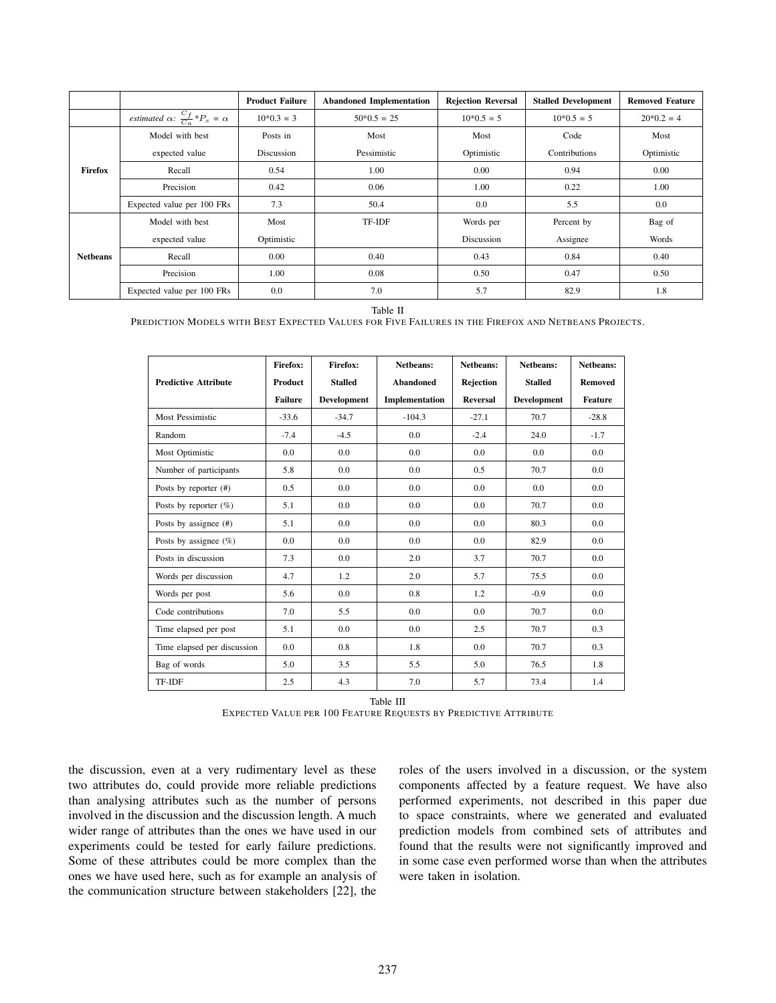|                 |                                                       | <b>Product Failure</b> | <b>Abandoned Implementation</b> | <b>Rejection Reversal</b> | <b>Stalled Development</b> | <b>Removed Feature</b> |
|-----------------|-------------------------------------------------------|------------------------|---------------------------------|---------------------------|----------------------------|------------------------|
|                 | estimated $\alpha$ : $\frac{C_f}{C_a} * P_s = \alpha$ | $10*0.3 = 3$           | $50*0.5 = 25$                   | $10*0.5 = 5$              | $10*0.5 = 5$               | $20*0.2 = 4$           |
|                 | Model with best                                       | Posts in               | Most                            | Most                      | Code                       | Most                   |
|                 | expected value                                        | Discussion             | Pessimistic                     | Optimistic                | Contributions              | Optimistic             |
| <b>Firefox</b>  | Recall                                                | 0.54                   | 1.00                            | 0.00                      | 0.94                       | $0.00\,$               |
|                 | Precision                                             | 0.42                   | 0.06                            | 1.00                      | 0.22                       | 1.00                   |
|                 | Expected value per 100 FRs                            | 7.3                    | 50.4                            | 0.0                       | 5.5                        | $0.0\,$                |
| <b>Netbeans</b> | Model with best                                       | Most                   | TF-IDF                          | Words per                 | Percent by                 | Bag of                 |
|                 | expected value                                        | Optimistic             |                                 | Discussion                | Assignee                   | Words                  |
|                 | Recall                                                | $0.00\,$               | 0.40                            | 0.43                      | 0.84                       | 0.40                   |
|                 | Precision                                             | 1.00                   | 0.08                            | 0.50                      | 0.47                       | 0.50                   |
|                 | Expected value per 100 FRs                            | 0.0                    | 7.0                             | 5.7                       | 82.9                       | 1.8                    |

Table II

PREDICTION MODELS WITH BEST EXPECTED VALUES FOR FIVE FAILURES IN THE FIREFOX AND NETBEANS PROJECTS.

|                             | Firefox:       | Firefox:       | Netheans:        | Netheans: | Netheans:          | Netheans:      |
|-----------------------------|----------------|----------------|------------------|-----------|--------------------|----------------|
| <b>Predictive Attribute</b> | <b>Product</b> | <b>Stalled</b> | <b>Abandoned</b> | Rejection | <b>Stalled</b>     | <b>Removed</b> |
|                             | <b>Failure</b> | Development    | Implementation   | Reversal  | <b>Development</b> | <b>Feature</b> |
| Most Pessimistic            | $-33.6$        | $-34.7$        | $-104.3$         | $-27.1$   | 70.7               | $-28.8$        |
| Random                      | $-7.4$         | $-4.5$         | 0.0              | $-2.4$    | 24.0               | $-1.7$         |
| Most Optimistic             | 0.0            | 0.0            | 0.0              | 0.0       | 0.0                | 0.0            |
| Number of participants      | 5.8            | 0.0            | 0.0              | 0.5       | 70.7               | 0.0            |
| Posts by reporter $(\#)$    | 0.5            | 0.0            | 0.0              | 0.0       | 0.0                | 0.0            |
| Posts by reporter $(\%)$    | 5.1            | 0.0            | 0.0              | 0.0       | 70.7               | 0.0            |
| Posts by assignee $(\#)$    | 5.1            | 0.0            | 0.0              | 0.0       | 80.3               | 0.0            |
| Posts by assignee $(\%)$    | 0.0            | 0.0            | 0.0              | 0.0       | 82.9               | 0.0            |
| Posts in discussion         | 7.3            | 0.0            | 2.0              | 3.7       | 70.7               | 0.0            |
| Words per discussion        | 4.7            | 1.2            | 2.0              | 5.7       | 75.5               | 0.0            |
| Words per post              | 5.6            | 0.0            | 0.8              | 1.2       | $-0.9$             | 0.0            |
| Code contributions          | 7.0            | 5.5            | 0.0              | 0.0       | 70.7               | 0.0            |
| Time elapsed per post       | 5.1            | 0.0            | 0.0              | 2.5       | 70.7               | 0.3            |
| Time elapsed per discussion | 0.0            | 0.8            | 1.8              | 0.0       | 70.7               | 0.3            |
| Bag of words                | 5.0            | 3.5            | 5.5              | 5.0       | 76.5               | 1.8            |
| TF-IDF                      | 2.5            | 4.3            | 7.0              | 5.7       | 73.4               | 1.4            |

Table III EXPECTED VALUE PER 100 FEATURE REQUESTS BY PREDICTIVE ATTRIBUTE

the discussion, even at a very rudimentary level as these two attributes do, could provide more reliable predictions than analysing attributes such as the number of persons involved in the discussion and the discussion length. A much wider range of attributes than the ones we have used in our experiments could be tested for early failure predictions. Some of these attributes could be more complex than the ones we have used here, such as for example an analysis of the communication structure between stakeholders [22], the

roles of the users involved in a discussion, or the system components affected by a feature request. We have also performed experiments, not described in this paper due to space constraints, where we generated and evaluated prediction models from combined sets of attributes and found that the results were not significantly improved and in some case even performed worse than when the attributes were taken in isolation.